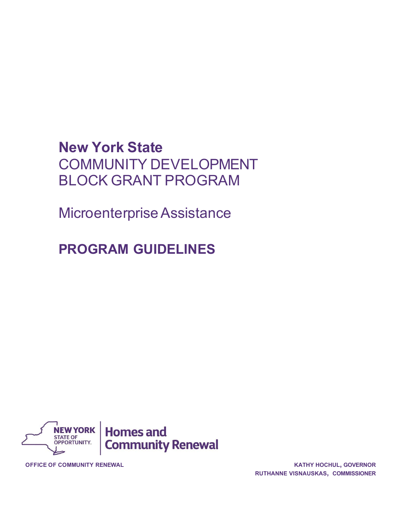# **New York State** COMMUNITY DEVELOPMENT BLOCK GRANT PROGRAM

Microenterprise Assistance

# **PROGRAM GUIDELINES**



**OFFICE OF COMMUNITY RENEWAL KATHY HOCHUL, GOVERNOR**

**RUTHANNE VISNAUSKAS, COMMISSIONER**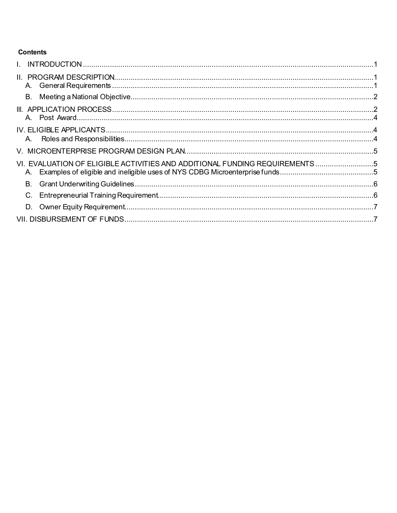# **Contents**

| VI. EVALUATION OF ELIGIBLE ACTIVITIES AND ADDITIONAL FUNDING REQUIREMENTS5<br>А. |
|----------------------------------------------------------------------------------|
| В.                                                                               |
| C.                                                                               |
|                                                                                  |
|                                                                                  |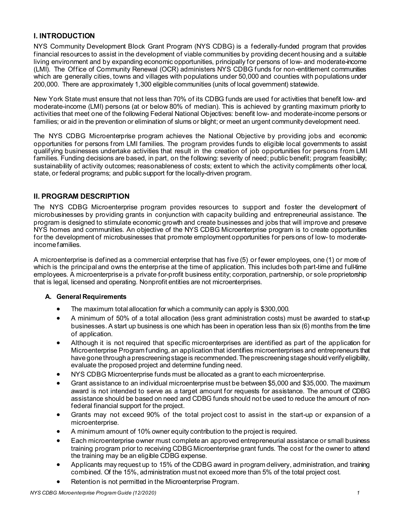## <span id="page-2-0"></span>**I. INTRODUCTION**

NYS Community Development Block Grant Program (NYS CDBG) is a federally-funded program that provides financial resources to assist in the development of viable communities by providing decent housing and a suitable living environment and by expanding economic opportunities, principally for persons of low- and moderate-income (LMI). The Office of Community Renewal (OCR) administers NYS CDBG funds for non-entitlement communities which are generally cities, towns and villages with populations under 50,000 and counties with populations under 200,000. There are approximately 1,300 eligiblecommunities (units of local government) statewide.

New York State must ensure that not less than 70% of its CDBG funds are used for activities that benefit low- and moderate-income (LMI) persons (at or below 80% of median). This is achieved by granting maximum priority to activities that meet one of the following Federal National Objectives: benefit low- and moderate-income persons or families; or aid in the prevention or elimination of slums or blight; or meet an urgent communitydevelopment need.

The NYS CDBG Microenterprise program achieves the National Objective by providing jobs and economic opportunities for persons from LMI families. The program provides funds to eligible local governments to assist qualifying businesses undertake activities that result in the creation of job opportunities for persons from LMI families. Funding decisions are based, in part, on the following: severity of need; public benefit; program feasibility; sustainability of activity outcomes; reasonableness of costs; extent to which the activity compliments other local, state, or federal programs; and public support for the locally-driven program.

## <span id="page-2-1"></span>**II. PROGRAM DESCRIPTION**

The NYS CDBG Microenterprise program provides resources to support and foster the development of microbusinesses by providing grants in conjunction with capacity building and entrepreneurial assistance. The program is designed to stimulate economic growth and create businesses and jobs that will improve and preserve NYS homes and communities. An objective of the NYS CDBG Microenterprise program is to create opportunities for the development of microbusinesses that promote employment opportunities for persons of low- to moderateincomefamilies.

A microenterprise is defined as a commercial enterprise that has five (5) or fewer employees, one (1) or more of which is the principal and owns the enterprise at the time of application. This includes both part-time and full-time employees. A microenterpriseis a private for-profit business entity; corporation, partnership, or sole proprietorship that is legal, licensed and operating. Nonprofit entities are not microenterprises.

#### <span id="page-2-2"></span>**A. General Requirements**

- The maximum total allocation for which a community can apply is \$300,000.
- A minimum of 50% of a total allocation (less grant administration costs) must be awarded to start-up businesses. A start up business is one which has been in operation less than six (6) months from the time of application.
- Although it is not required that specific microenterprises are identified as part of the application for Microenterprise Program funding, an application that identifies microenterprises and entrepreneurs that have gone through a prescreening stage is recommended. The prescreening stage should verify eligibility, evaluate the proposed project and determine funding need.
- NYS CDBG Microenterprise funds must be allocated as a grant to each microenterprise.
- Grant assistance to an individual microenterprise must be between \$5,000 and \$35,000. The maximum award is not intended to serve as a target amount for requests for assistance. The amount of CDBG assistance should be based on need and CDBG funds should not be used to reduce the amount of nonfederal financial support for the project.
- Grants may not exceed 90% of the total project cost to assist in the start-up or expansion of a microenterprise.
- A minimum amount of 10% owner equity contribution to the project is required.
- Each microenterprise owner must complete an approved entrepreneurial assistance or small business training program prior to receiving CDBG Microenterprise grant funds. The cost for the owner to attend the training may be an eligible CDBG expense.
- Applicants may request up to 15% of the CDBG award in program delivery, administration, and training combined. Of the 15%, administration must not exceed more than 5% of the total project cost.
- Retention is not permitted in the Microenterprise Program.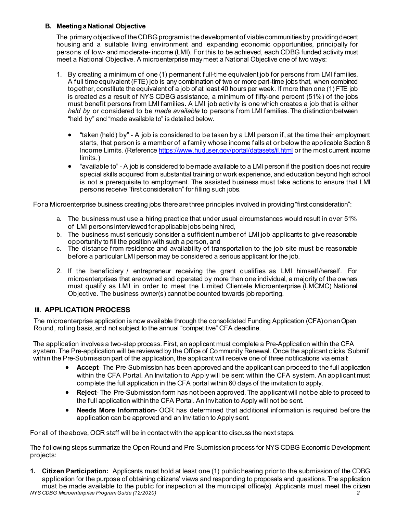#### <span id="page-3-0"></span>**B. Meeting aNational Objective**

The primary objective of the CDBG program is the development of viable communities by providing decent housing and a suitable living environment and expanding economic opportunities, principally for persons of low- and moderate- income (LMI). For this to be achieved, each CDBG funded activity must meet a National Objective. A microenterprise maymeet a National Objective one of two ways:

- 1. By creating a minimum of one (1) permanent full-time equivalent job for persons from LMI families. A full time equivalent (FTE) job is any combination of two or more part-time jobs that, when combined together, constitute the equivalent of a job of at least 40 hours per week. If more than one (1) FTE job is created as a result of NYS CDBG assistance, a minimum of fifty-one percent (51%) of the jobs must benefit persons from LMI families. A LMI job activity is one which creates a job that is either *held by* or considered to be *made available* to persons from LMI families. The distinctionbetween "held by" and "made available to" is detailed below.
	- "taken (held) by" A job is considered to be taken by a LMI person if, at the time their employment starts, that person is a member of a family whose income falls at or below the applicable Section 8 Income Limits. (Referenc[e https://www.huduser.gov/portal/datasets/il.html](https://www.huduser.gov/portal/datasets/il.html) or the most current income limits.)
	- "available to" A job is considered to be made available to a LMI person if the position does not require special skills acquired from substantial training or work experience, and education beyond high school is not a prerequisite to employment. The assisted business must take actions to ensure that LMI persons receive "first consideration" for filling such jobs.

Fora Microenterprise business creating jobs there are three principles involved in providing "first consideration":

- a. The business must use a hiring practice that under usual circumstances would result in over 51% of LMIpersonsinterviewedforapplicablejobs beinghired,
- b. The business must seriously consider a sufficient number of LMI job applicants to give reasonable opportunity to fill the position with such a person, and
- c. The distance from residence and availability of transportation to the job site must be reasonable before a particular LMI personmay be considered a serious applicant for the job.
- 2. If the beneficiary / entrepreneur receiving the grant qualifies as LMI himself/herself. For microenterprises that are owned and operated by more than one individual, a majority of the owners must qualify as LMI in order to meet the Limited Clientele Microenterprise (LMCMC) National Objective. The business owner(s) cannot becounted towards jobreporting.

## <span id="page-3-1"></span>**III. APPLICATION PROCESS**

The microenterprise application is now available through the consolidated Funding Application (CFA) on an Open Round, rolling basis, and not subject to the annual "competitive" CFA deadline.

The application involves a two-step process. First, an applicant must complete a Pre-Application within the CFA system. The Pre-application will be reviewed by the Office of Community Renewal. Once the applicant clicks 'Submit' within the Pre-Submission part of the application, the applicant will receive one of three notifications via email:

- **Accept** The Pre-Submission has been approved and the applicant can proceed to the full application within the CFA Portal. An Invitation to Apply will be sent within the CFA system. An applicant must complete the full application in the CFA portal within 60 days of the invitation to apply.
- **Reject** The Pre-Submission form has not been approved. The applicant will not be able to proceed to the full application within the CFA Portal. An Invitation to Apply will not be sent.
- **Needs More Information** OCR has determined that additional information is required before the application can be approved and an Invitation to Apply sent.

For all of the above, OCR staff will be in contact with the applicant to discuss the next steps.

The following steps summarize the Open Round and Pre-Submission process for NYS CDBG Economic Development projects:

*NYS CDBG Microenterprise Program Guide (12/2020) 2* **1. Citizen Participation:** Applicants must hold at least one (1) public hearing prior to the submission of the CDBG application for the purpose of obtaining citizens' views and responding to proposals and questions. The application must be made available to the public for inspection at the municipal office(s). Applicants must meet the citizen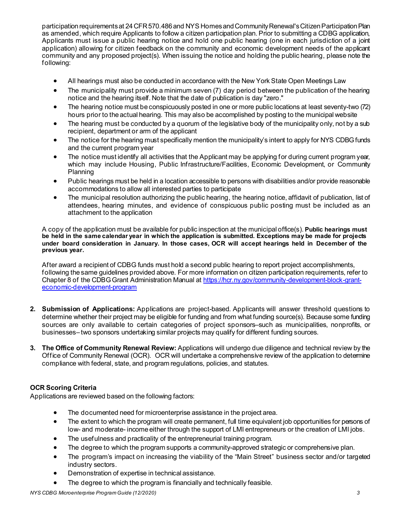participation requirements at 24 CFR 570.486 and NYS Homes and Community Renewal's Citizen Participation Plan as amended, which require Applicants to follow a citizen participation plan. Prior to submitting a CDBG application, Applicants must issue a public hearing notice and hold one public hearing (one in each jurisdiction of a joint application) allowing for citizen feedback on the community and economic development needs of the applicant community and any proposed project(s). When issuing the notice and holding the public hearing, please note the following:

- All hearings must also be conducted in accordance with the New York State Open Meetings Law
- The municipality must provide a minimum seven (7) day period between the publication of the hearing notice and the hearing itself. Note that the date of publication is day "zero."
- The hearing notice must be conspicuously posted in one or more public locations at least seventy-two (72) hours prior to the actual hearing. This may also be accomplished by posting to the municipal website
- The hearing must be conducted by a quorum of the legislative body of the municipality only, not by a sub recipient, department or arm of the applicant
- The notice for the hearing must specifically mention the municipality's intent to apply for NYS CDBG funds and the current program year
- The notice must identify all activities that the Applicant may be applying for during current program year, which may include Housing, Public Infrastructure/Facilities, Economic Development, or Community Planning
- Public hearings must be held in a location accessible to persons with disabilities and/or provide reasonable accommodations to allow all interested parties to participate
- The municipal resolution authorizing the public hearing, the hearing notice, affidavit of publication, list of attendees, hearing minutes, and evidence of conspicuous public posting must be included as an attachment to the application

A copy of the application must be available for public inspection at the municipal office(s). **Public hearings must be held in the same calendar year in which the application is submitted. Exceptions may be made for projects under board consideration in January. In those cases, OCR will accept hearings held in December of the previous year.**

After award a recipient of CDBG funds must hold a second public hearing to report project accomplishments, following the same guidelines provided above. For more information on citizen participation requirements, refer to Chapter 8 of the CDBG Grant Administration Manual a[t https://hcr.ny.gov/community-development-block-grant](https://hcr.ny.gov/community-development-block-grant-economic-development-program)[economic-development-program](https://hcr.ny.gov/community-development-block-grant-economic-development-program)

- **2. Submission of Applications:** Applications are project-based. Applicants will answer threshold questions to determine whether their project may be eligible for funding and from what funding source(s). Because some funding sources are only available to certain categories of project sponsors–such as municipalities, nonprofits, or businesses–two sponsors undertaking similar projects may qualify for different funding sources.
- **3. The Office of Community Renewal Review:** Applications will undergo due diligence and technical review by the Office of Community Renewal (OCR). OCR will undertake a comprehensive review of the application to determine compliance with federal, state, and program regulations, policies, and statutes.

## **OCR Scoring Criteria**

Applications are reviewed based on the following factors:

- The documented need for microenterprise assistance in the project area.
- The extent to which the program will create permanent, full time equivalent job opportunities for persons of low- and moderate- income either through the support of LMI entrepreneurs or the creation of LMI jobs.
- The usefulness and practicality of the entrepreneurial training program.
- The degree to which the program supports a community-approved strategic or comprehensive plan.
- The program's impact on increasing the viability of the "Main Street" business sector and/or targeted industry sectors.
- Demonstration of expertise in technical assistance.
- The degree to which the program is financially and technically feasible.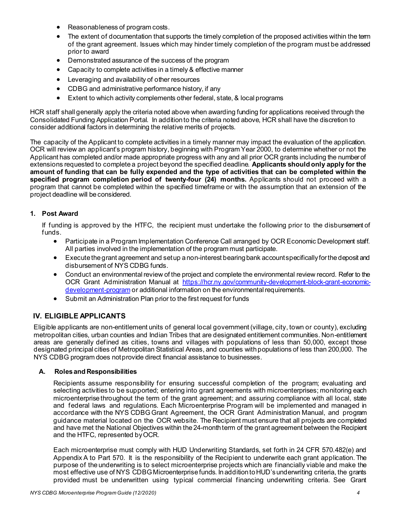- Reasonableness of program costs.
- The extent of documentation that supports the timely completion of the proposed activities within the term of the grant agreement. Issues which may hinder timely completion of the program must be addressed prior to award
- Demonstrated assurance of the success of the program
- Capacity to complete activities in a timely & effective manner
- Leveraging and availability of other resources
- CDBG and administrative performance history, if any
- Extent to which activity complements other federal, state, & local programs

HCR staff shall generally apply the criteria noted above when awarding funding for applications received through the Consolidated Funding Application Portal. In addition to the criteria noted above, HCR shall have the discretion to consider additional factors in determining the relative merits of projects.

The capacity of the Applicant to complete activities in a timely manner may impact the evaluation of the application. OCR will review an applicant's program history, beginning with Program Year 2000, to determine whether or not the Applicant has completed and/or made appropriate progress with any and all prior OCR grants including the numberof extensions requested to completea project beyond the specified deadline. **Applicants should only apply for the** amount of funding that can be fully expended and the type of activities that can be completed within the **specified program completion period of twenty-four (24) months.** Applicants should not proceed with a program that cannot be completed within the specified timeframe or with the assumption that an extension of the project deadline will beconsidered.

#### <span id="page-5-0"></span>**1. Post Award**

If funding is approved by the HTFC, the recipient must undertake the following prior to the disbursement of funds.

- Participate in a Program Implementation Conference Call arranged by OCR Economic Development staff. All parties involved in the implementation of the program must participate.
- Execute the grant agreement and set up a non-interest bearing bank account specifically for the deposit and disbursement of NYS CDBG funds.
- Conduct an environmental review of the project and complete the environmental review record. Refer to the OCR Grant Administration Manual at [https://hcr.ny.gov/community-development-block-grant-economic](https://hcr.ny.gov/community-development-block-grant-economic-development-program)[development-program](https://hcr.ny.gov/community-development-block-grant-economic-development-program) or additional information on the environmental requirements.
- Submit an Administration Plan prior to the first request for funds

## <span id="page-5-1"></span>**IV. ELIGIBLE APPLICANTS**

Eligible applicants are non-entitlement units of general local government (village, city, town or county), excluding metropolitan cities, urban counties and Indian Tribes that are designated entitlement communities. Non-entitlement areas are generally defined as cities, towns and villages with populations of less than 50,000, except those designated principal cities of Metropolitan Statistical Areas, and counties withpopulations of less than 200,000. The NYS CDBG program does notprovide direct financial assistance to businesses.

#### <span id="page-5-2"></span>**A. Rolesand Responsibilities**

Recipients assume responsibility for ensuring successful completion of the program; evaluating and selecting activities to be supported; entering into grant agreements with microenterprises; monitoring each microenterprise throughout the term of the grant agreement; and assuring compliance with all local, state and federal laws and regulations. Each Microenterprise Program will be implemented and managed in accordance with the NYS CDBGGrant Agreement, the OCR Grant Administration Manual, and program guidance material located on the OCR website. The Recipient must ensure that all projects are completed and have met the National Objectives within the 24-month term of the grant agreement between the Recipient and the HTFC, represented byOCR.

Each microenterprise must comply with HUD Underwriting Standards, set forth in 24 CFR 570.482(e) and Appendix A to Part 570. It is the responsibility of the Recipient to underwrite each grant application. The purpose of the underwriting is to select microenterprise projects which are financially viable and make the most effective use of NYS CDBG Microenterprise funds. In addition toHUD'sunderwriting criteria, the grants provided must be underwritten using typical commercial financing underwriting criteria. See Grant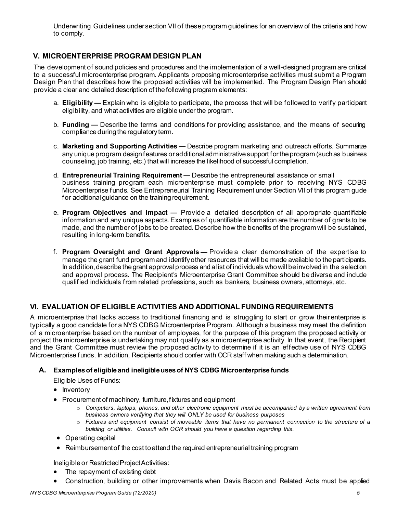Underwriting Guidelines under section VII of theseprogram guidelines for an overview of the criteria and how to comply.

# <span id="page-6-0"></span>**V. MICROENTERPRISE PROGRAM DESIGN PLAN**

The development of sound policies and procedures and the implementation of a well-designed program are critical to a successful microenterprise program. Applicants proposing microenterprise activities must submit a Program Design Plan that describes how the proposed activities will be implemented. The Program Design Plan should provide a clear and detailed description of thefollowing program elements:

- a. **Eligibility —** Explain who is eligible to participate, the process that will be followed to verify participant eligibility, and what activities are eligible under the program.
- b. **Funding —** Describe the terms and conditions for providing assistance, and the means of securing compliance during the regulatory term.
- c. **Marketing and Supporting Activities —** Describe program marketing and outreach efforts. Summarize any unique program design features or additional administrative support for the program (such as business counseling, job training, etc.) that will increase the likelihood of successful completion.
- d. **Entrepreneurial Training Requirement —** Describe the entrepreneurial assistance or small business training program each microenterprise must complete prior to receiving NYS CDBG Microenterprise funds. See Entrepreneurial Training Requirement under Section VII of this program guide for additional guidance on the training requirement.
- e. **Program Objectives and Impact —** Provide a detailed description of all appropriate quantifiable information and any unique aspects. Examples of quantifiable information are the number of grants to be made, and the number of jobs to be created. Describe how the benefits of the program will be sustained, resulting in long-term benefits.
- f. **Program Oversight and Grant Approvals —** Provide a clear demonstration of the expertise to manage the grant fund program and identifyother resources that will be made available to the participants. In addition, describe the grant approval process and a list of individuals who will be involved in the selection and approval process. The Recipient's Microenterprise Grant Committee should bediverse and include qualified individuals from related professions, such as bankers, business owners,attorneys,etc.

# <span id="page-6-1"></span>**VI. EVALUATION OF ELIGIBLE ACTIVITIES AND ADDITIONAL FUNDINGREQUIREMENTS**

A microenterprise that lacks access to traditional financing and is struggling to start or grow theirenterprise is typically a good candidate for a NYS CDBG Microenterprise Program. Although a business may meet the definition of a microenterprise based on the number of employees, for the purpose of this program the proposed activity or project the microenterprise is undertaking may not qualify as a microenterprise activity. In that event, the Recipient and the Grant Committee must review the proposed activity to determine if it is an effective use of NYS CDBG Microenterprise funds. In addition, Recipients should confer with OCR staff when making such a determination.

## <span id="page-6-2"></span>**A. Examplesof eligibleand ineligibleusesof NYS CDBG Microenterprisefunds**

Eligible Uses of Funds:

- Inventory
- Procurement of machinery, furniture,fixturesand equipment
	- o *Computers, laptops, phones, and other electronic equipment must be accompanied by a written agreement from business owners verifying that they will ONLY be used for business purposes*
	- o *Fixtures and equipment consist of moveable items that have no permanent connection to the structure of a building or utilities. Consult with OCR should you have a question regarding this.*
- Operating capital
- Reimbursement of the cost to attend the required entrepreneurial training program

Ineligible or Restricted Project Activities:

- The repayment of existing debt
- Construction, building or other improvements when Davis Bacon and Related Acts must be applied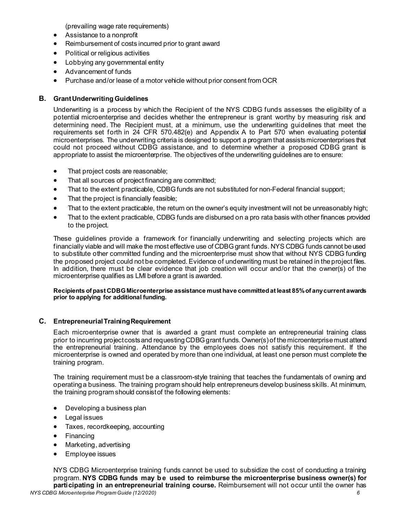(prevailing wage rate requirements)

- Assistance to a nonprofit
- Reimbursement of costs incurred prior to grant award
- Political or religious activities
- Lobbying any governmental entity
- Advancement of funds
- Purchase and/or lease of a motor vehicle without prior consent from OCR

#### <span id="page-7-0"></span>**B. GrantUnderwriting Guidelines**

Underwriting is a process by which the Recipient of the NYS CDBG funds assesses the eligibility of a potential microenterprise and decides whether the entrepreneur is grant worthy by measuring risk and determining need. The Recipient must, at a minimum, use the underwriting guidelines that meet the requirements set forth in 24 CFR 570.482(e) and Appendix A to Part 570 when evaluating potential microenterprises. The underwriting criteria is designed to support a program that assistsmicroenterprises that could not proceed without CDBG assistance, and to determine whether a proposed CDBG grant is appropriate to assist the microenterprise. The objectives of the underwriting guidelines are to ensure:

- That project costs are reasonable;
- That all sources of project financing are committed;
- That to the extent practicable, CDBG funds are not substituted for non-Federal financial support;
- That the project is financially feasible;
- That to the extent practicable, the return on the owner's equity investment will not be unreasonably high;
- That to the extent practicable, CDBG funds are disbursed on a pro rata basis with other finances provided to the project.

These guidelines provide a framework for financially underwriting and selecting projects which are financially viable and will make the most effective use of CDBG grant funds. NYS CDBG funds cannot be used to substitute other committed funding and the microenterprise must show that without NYS CDBG funding the proposed project could not be completed. Evidence of underwriting must be retained in the project files. In addition, there must be clear evidence that job creation will occur and/or that the owner(s) of the microenterprise qualifies as LMI before a grant is awarded.

#### **Recipients of past CDBG Microenterprise assistance must have committed at least 85% of any current awards prior to applying for additional funding.**

#### <span id="page-7-1"></span>**C. EntrepreneurialTrainingRequirement**

Each microenterprise owner that is awarded a grant must complete an entrepreneurial training class prior to incurring project costs and requesting CDBG grant funds. Owner(s) of the microenterprise must attend the entrepreneurial training. Attendance by the employees does not satisfy this requirement. If the microenterprise is owned and operated by more than one individual, at least one person must complete the training program.

The training requirement must be a classroom-style training that teaches the fundamentals of owning and operating a business. The training program should help entrepreneurs develop business skills. At minimum, the training program should consistof the following elements:

- Developing a business plan
- Legal issues
- Taxes, recordkeeping, accounting
- **Financing**
- Marketing, advertising
- Employee issues

NYS CDBG Microenterprise training funds cannot be used to subsidize the cost of conducting a training program. **NYS CDBG funds may be used to reimburse the microenterprise business owner(s) for participating in an entrepreneurial training course.** Reimbursement will not occur until the owner has